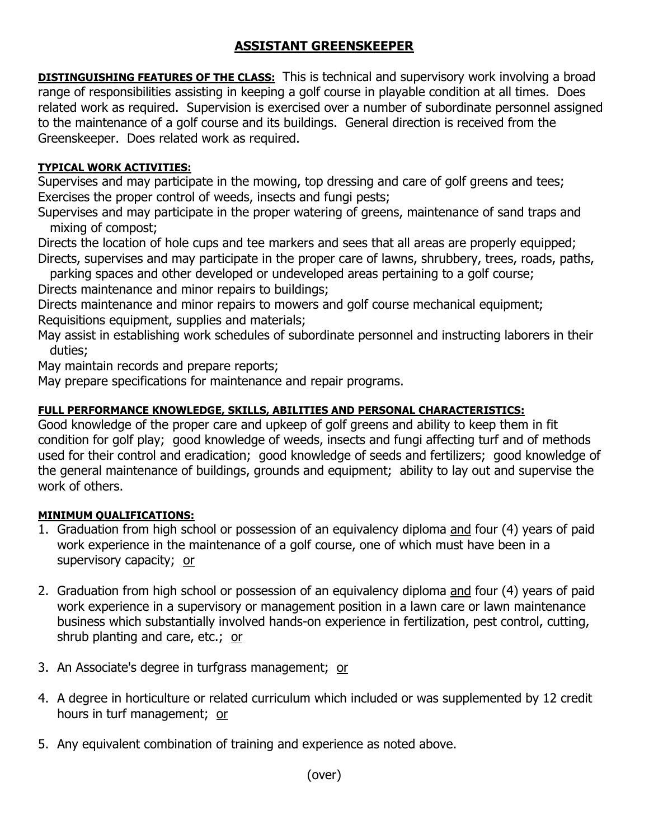# **ASSISTANT GREENSKEEPER**

**DISTINGUISHING FEATURES OF THE CLASS:** This is technical and supervisory work involving a broad range of responsibilities assisting in keeping a golf course in playable condition at all times. Does related work as required. Supervision is exercised over a number of subordinate personnel assigned to the maintenance of a golf course and its buildings. General direction is received from the Greenskeeper. Does related work as required.

## **TYPICAL WORK ACTIVITIES:**

Supervises and may participate in the mowing, top dressing and care of golf greens and tees; Exercises the proper control of weeds, insects and fungi pests;

Supervises and may participate in the proper watering of greens, maintenance of sand traps and mixing of compost;

Directs the location of hole cups and tee markers and sees that all areas are properly equipped; Directs, supervises and may participate in the proper care of lawns, shrubbery, trees, roads, paths,

parking spaces and other developed or undeveloped areas pertaining to a golf course;

Directs maintenance and minor repairs to buildings;

Directs maintenance and minor repairs to mowers and golf course mechanical equipment; Requisitions equipment, supplies and materials;

May assist in establishing work schedules of subordinate personnel and instructing laborers in their duties;

May maintain records and prepare reports;

May prepare specifications for maintenance and repair programs.

## **FULL PERFORMANCE KNOWLEDGE, SKILLS, ABILITIES AND PERSONAL CHARACTERISTICS:**

Good knowledge of the proper care and upkeep of golf greens and ability to keep them in fit condition for golf play; good knowledge of weeds, insects and fungi affecting turf and of methods used for their control and eradication; good knowledge of seeds and fertilizers; good knowledge of the general maintenance of buildings, grounds and equipment; ability to lay out and supervise the work of others.

## **MINIMUM QUALIFICATIONS:**

- 1. Graduation from high school or possession of an equivalency diploma and four (4) years of paid work experience in the maintenance of a golf course, one of which must have been in a supervisory capacity; or
- 2. Graduation from high school or possession of an equivalency diploma and four (4) years of paid work experience in a supervisory or management position in a lawn care or lawn maintenance business which substantially involved hands-on experience in fertilization, pest control, cutting, shrub planting and care, etc.; or
- 3. An Associate's degree in turfgrass management; or
- 4. A degree in horticulture or related curriculum which included or was supplemented by 12 credit hours in turf management; or
- 5. Any equivalent combination of training and experience as noted above.